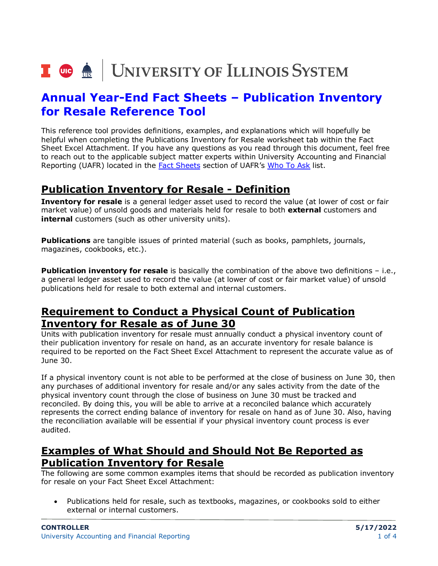# I **@ A** UNIVERSITY OF ILLINOIS SYSTEM

## **Annual Year-End Fact Sheets – Publication Inventory for Resale Reference Tool**

This reference tool provides definitions, examples, and explanations which will hopefully be helpful when completing the Publications Inventory for Resale worksheet tab within the Fact Sheet Excel Attachment. If you have any questions as you read through this document, feel free to reach out to the applicable subject matter experts within University Accounting and Financial Reporting (UAFR) located in the [Fact Sheets](https://www.obfs.uillinois.edu/accounting-financial-reporting/who-to-ask/types-questions#fact-sheets) section of UAFR's [Who To Ask](https://www.obfs.uillinois.edu/accounting-financial-reporting/who-to-ask/types-questions) list.

#### **Publication Inventory for Resale - Definition**

**Inventory for resale** is a general ledger asset used to record the value (at lower of cost or fair market value) of unsold goods and materials held for resale to both **external** customers and **internal** customers (such as other university units).

**Publications** are tangible issues of printed material (such as books, pamphlets, journals, magazines, cookbooks, etc.).

**Publication inventory for resale** is basically the combination of the above two definitions - i.e., a general ledger asset used to record the value (at lower of cost or fair market value) of unsold publications held for resale to both external and internal customers.

#### **Requirement to Conduct a Physical Count of Publication Inventory for Resale as of June 30**

Units with publication inventory for resale must annually conduct a physical inventory count of their publication inventory for resale on hand, as an accurate inventory for resale balance is required to be reported on the Fact Sheet Excel Attachment to represent the accurate value as of June 30.

If a physical inventory count is not able to be performed at the close of business on June 30, then any purchases of additional inventory for resale and/or any sales activity from the date of the physical inventory count through the close of business on June 30 must be tracked and reconciled. By doing this, you will be able to arrive at a reconciled balance which accurately represents the correct ending balance of inventory for resale on hand as of June 30. Also, having the reconciliation available will be essential if your physical inventory count process is ever audited.

#### **Examples of What Should and Should Not Be Reported as Publication Inventory for Resale**

The following are some common examples items that should be recorded as publication inventory for resale on your Fact Sheet Excel Attachment:

• Publications held for resale, such as textbooks, magazines, or cookbooks sold to either external or internal customers.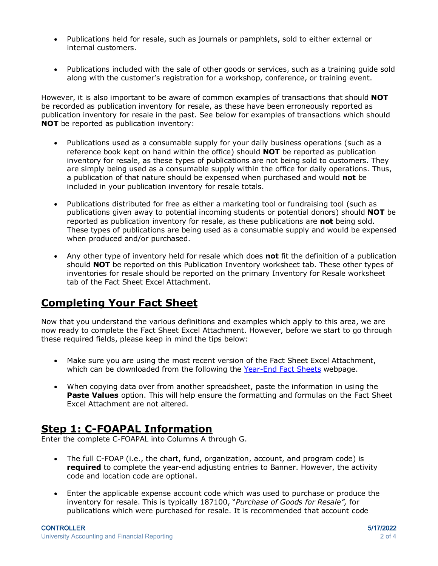- Publications held for resale, such as journals or pamphlets, sold to either external or internal customers.
- Publications included with the sale of other goods or services, such as a training guide sold along with the customer's registration for a workshop, conference, or training event.

However, it is also important to be aware of common examples of transactions that should **NOT** be recorded as publication inventory for resale, as these have been erroneously reported as publication inventory for resale in the past. See below for examples of transactions which should **NOT** be reported as publication inventory:

- Publications used as a consumable supply for your daily business operations (such as a reference book kept on hand within the office) should **NOT** be reported as publication inventory for resale, as these types of publications are not being sold to customers. They are simply being used as a consumable supply within the office for daily operations. Thus, a publication of that nature should be expensed when purchased and would **not** be included in your publication inventory for resale totals.
- Publications distributed for free as either a marketing tool or fundraising tool (such as publications given away to potential incoming students or potential donors) should **NOT** be reported as publication inventory for resale, as these publications are **not** being sold. These types of publications are being used as a consumable supply and would be expensed when produced and/or purchased.
- Any other type of inventory held for resale which does **not** fit the definition of a publication should **NOT** be reported on this Publication Inventory worksheet tab. These other types of inventories for resale should be reported on the primary Inventory for Resale worksheet tab of the Fact Sheet Excel Attachment.

### **Completing Your Fact Sheet**

Now that you understand the various definitions and examples which apply to this area, we are now ready to complete the Fact Sheet Excel Attachment. However, before we start to go through these required fields, please keep in mind the tips below:

- Make sure you are using the most recent version of the Fact Sheet Excel Attachment, which can be downloaded from the following the [Year-End Fact Sheets](https://www.obfs.uillinois.edu/accounting-financial-reporting/year-end-procedures/fact-sheets/) webpage.
- When copying data over from another spreadsheet, paste the information in using the **Paste Values** option. This will help ensure the formatting and formulas on the Fact Sheet Excel Attachment are not altered.

#### **Step 1: C-FOAPAL Information**

Enter the complete C-FOAPAL into Columns A through G.

- The full C-FOAP (i.e., the chart, fund, organization, account, and program code) is **required** to complete the year-end adjusting entries to Banner. However, the activity code and location code are optional.
- Enter the applicable expense account code which was used to purchase or produce the inventory for resale. This is typically 187100, "*Purchase of Goods for Resale",* for publications which were purchased for resale. It is recommended that account code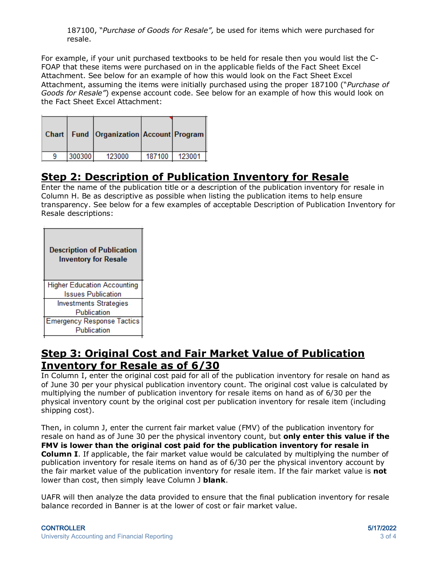187100, "*Purchase of Goods for Resale",* be used for items which were purchased for resale.

For example, if your unit purchased textbooks to be held for resale then you would list the C-FOAP that these items were purchased on in the applicable fields of the Fact Sheet Excel Attachment. See below for an example of how this would look on the Fact Sheet Excel Attachment, assuming the items were initially purchased using the proper 187100 ("*Purchase of Goods for Resale"*) expense account code. See below for an example of how this would look on the Fact Sheet Excel Attachment:

|        | Chart   Fund   Organization   Account   Program |        |        |
|--------|-------------------------------------------------|--------|--------|
| 300300 | 123000                                          | 187100 | 123001 |

#### **Step 2: Description of Publication Inventory for Resale**

Enter the name of the publication title or a description of the publication inventory for resale in Column H. Be as descriptive as possible when listing the publication items to help ensure transparency. See below for a few examples of acceptable Description of Publication Inventory for Resale descriptions:

| <b>Description of Publication</b><br><b>Inventory for Resale</b> |  |
|------------------------------------------------------------------|--|
| <b>Higher Education Accounting</b>                               |  |
| <b>Issues Publication</b>                                        |  |
| <b>Investments Strategies</b>                                    |  |
| Publication                                                      |  |
| <b>Emergency Response Tactics</b>                                |  |
| Publication                                                      |  |
|                                                                  |  |

#### **Step 3: Original Cost and Fair Market Value of Publication Inventory for Resale as of 6/30**

In Column I, enter the original cost paid for all of the publication inventory for resale on hand as of June 30 per your physical publication inventory count. The original cost value is calculated by multiplying the number of publication inventory for resale items on hand as of 6/30 per the physical inventory count by the original cost per publication inventory for resale item (including shipping cost).

Then, in column J, enter the current fair market value (FMV) of the publication inventory for resale on hand as of June 30 per the physical inventory count, but **only enter this value if the FMV is lower than the original cost paid for the publication inventory for resale in Column I**. If applicable, the fair market value would be calculated by multiplying the number of publication inventory for resale items on hand as of 6/30 per the physical inventory account by the fair market value of the publication inventory for resale item. If the fair market value is **not** lower than cost, then simply leave Column J **blank**.

UAFR will then analyze the data provided to ensure that the final publication inventory for resale balance recorded in Banner is at the lower of cost or fair market value.